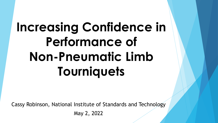# **Increasing Confidence in Performance of Non-Pneumatic Limb Tourniquets**

Cassy Robinson, National Institute of Standards and Technology May 2, 2022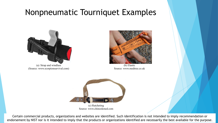### Nonpneumatic Tourniquet Examples



(a) Strap and windlass (Source: www.scorpionsurvival.com)



(b) Elastic Source: www.medtree.co.uk



Certain commercial products, organizations and websites are identified. Such identification is not intended to imply recommendation or endorsement by NIST nor is it intended to imply that the products or organizations identified are necessarily the best available for the purpose.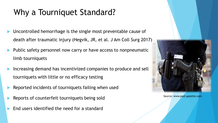# Why a Tourniquet Standard?

- Uncontrolled hemorrhage is the single most preventable cause of death after traumatic injury (Hegvik, JR, et al. J Am Coll Surg 2017)
- Public safety personnel now carry or have access to nonpneumatic limb tourniquets
- Increasing demand has incentivized companies to produce and sell tourniquets with little or no efficacy testing
- Reported incidents of tourniquets failing when used
- Reports of counterfeit tourniquets being sold
- End users identified the need for a standard



Source: www.post-gazette.com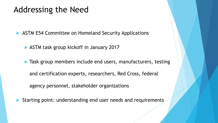### Addressing the Need

**ASTM E54 Committee on Homeland Security Applications** 

ASTM task group kickoff in January 2017

**Task group members include end users, manufacturers, testing** and certification experts, researchers, Red Cross, federal

agency personnel, stakeholder organizations

Starting point: understanding end user needs and requirements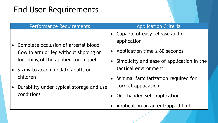## End User Requirements

|  | <b>Performance Requirements</b>                                                                                         | <b>Application Criteria</b>                      |
|--|-------------------------------------------------------------------------------------------------------------------------|--------------------------------------------------|
|  | • Complete occlusion of arterial blood<br>flow in arm or leg without slipping or<br>loosening of the applied tourniquet | • Capable of easy release and re-<br>application |
|  |                                                                                                                         | • Application time $\leq 60$ seconds             |
|  |                                                                                                                         | Simplicity and ease of application in the        |
|  | • Sizing to accommodate adults or                                                                                       | tactical environment                             |
|  | children                                                                                                                | Minimal familiarization required for             |
|  | Durability under typical storage and use                                                                                | correct application                              |
|  | conditions                                                                                                              | One-handed self application                      |

• Application on an entrapped limb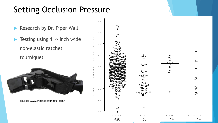## Setting Occlusion Pressure

- Research by Dr. Piper Wall
- $\blacktriangleright$  Testing using 1  $\frac{1}{2}$  inch wide non -elastic ratchet

tourniquet



Source: www.thetacticalmedic.com/

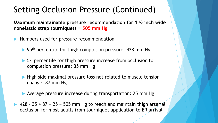## Setting Occlusion Pressure (Continued)

**Maximum maintainable pressure recommendation for 1 ½ inch wide nonelastic strap tourniquets = 505 mm Hg** 

- Numbers used for pressure recommendation
	- $\blacktriangleright$  95<sup>th</sup> percentile for thigh completion pressure: 428 mm Hg
	- $\blacktriangleright$  5<sup>th</sup> percentile for thigh pressure increase from occlusion to completion pressure: 35 mm Hg
	- **High side maximal pressure loss not related to muscle tension** change: 87 mm Hg
	- Average pressure increase during transportation: 25 mm Hg
- $\blacktriangleright$  428 35 + 87 + 25 = 505 mm Hg to reach and maintain thigh arterial occlusion for most adults from tourniquet application to ER arrival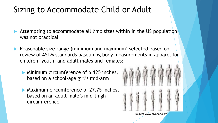## Sizing to Accommodate Child or Adult

- Attempting to accommodate all limb sizes within in the US population was not practical
- Reasonable size range (minimum and maximum) selected based on review of ASTM standards baselining body measurements in apparel for children, youth, and adult males and females:
	- **Minimum circumference of 6.125 inches,** based on a school-age girl's mid-arm
	- **Maximum circumference of 27.75 inches,** based on an adult male's mid-thigh circumference

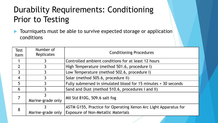# Durability Requirements: Conditioning Prior to Testing

**Tourniquets must be able to survive expected storage or application** conditions

| <b>Test</b><br>Item | Number of<br><b>Replicates</b> | <b>Conditioning Procedures</b>                                  |  |
|---------------------|--------------------------------|-----------------------------------------------------------------|--|
|                     |                                | Controlled ambient conditions for at least 12 hours             |  |
| $\overline{2}$      |                                | High Temperature (method 501.6, procedure I)                    |  |
| $\overline{3}$      |                                | Low Temperature (method 502.6, procedure I)                     |  |
| $\overline{4}$      |                                | Solar (method 505.6, procedure II)                              |  |
| 5                   |                                | Fully submersed in simulated blood for 15 minutes + 30 seconds  |  |
| 6                   |                                | Sand and Dust (method 510.6, procedures I and II)               |  |
|                     |                                | Mil Std 810G, 509.6 salt fog                                    |  |
|                     | Marine-grade only              |                                                                 |  |
| 8                   |                                | ASTM G155, Practice for Operating Xenon Arc Light Apparatus for |  |
|                     | Marine-grade only              | <b>Exposure of Non-Metallic Materials</b>                       |  |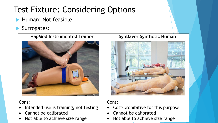# Test Fixture: Considering Options

- Human: Not feasible
- Surrogates:

| <b>HapMed Instrumented Trainer</b>                                                                         | <b>SynDaver Synthetic Human</b>                                                                      |
|------------------------------------------------------------------------------------------------------------|------------------------------------------------------------------------------------------------------|
|                                                                                                            |                                                                                                      |
| Cons:<br>Intended use is training, not testing<br>Cannot be calibrated<br>• Not able to achieve size range | Cons:<br>Cost-prohibitive for this purpose<br>Cannot be calibrated<br>Not able to achieve size range |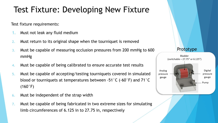## Test Fixture: Developing New Fixture

Test fixture requirements:

- 1. Must not leak any fluid medium
- 2. Must return to its original shape when the tourniquet is removed
- 3. Must be capable of measuring occlusion pressures from 200 mmHg to 600 mmHg
- 4. Must be capable of being calibrated to ensure accurate test results
- 5. Must be capable of accepting/testing tourniquets covered in simulated blood or tourniquets at temperatures between -51°C (-60°F) and 71°C  $(160°F)$
- 6. Must be independent of the strap width
- 7. Must be capable of being fabricated in two extreme sizes for simulating limb circumferences of 6.125 in to 27.75 in, respectively

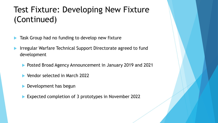## Test Fixture: Developing New Fixture (Continued)

- Task Group had no funding to develop new fixture
- Irregular Warfare Technical Support Directorate agreed to fund development
	- **Posted Broad Agency Announcement in January 2019 and 2021**
	- ▶ Vendor selected in March 2022
	- **Development has begun**
	- ▶ Expected completion of 3 prototypes in November 2022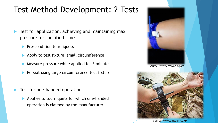## Test Method Development: 2 Tests

- Test for application, achieving and maintaining max pressure for specified time
	- $\blacktriangleright$  Pre-condition tourniquets
	- Apply to test fixture, small circumference
	- Measure pressure while applied for 5 minutes
	- Repeat using large circumference test fixture
- Test for one-handed operation
	- Applies to tourniquets for which one-handed operation is claimed by the manufacturer



Source: www.emsworld.com



Source: www.amazon.co.uk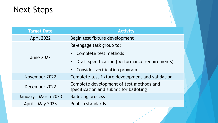

| <b>Target Date</b>   | <b>Activity</b>                                                                    |
|----------------------|------------------------------------------------------------------------------------|
| April 2022           | Begin test fixture development                                                     |
| <b>June 2022</b>     | Re-engage task group to:                                                           |
|                      | Complete test methods<br>$\bullet$                                                 |
|                      | Draft specification (performance requirements)<br>$\bullet$                        |
|                      | • Consider verification program                                                    |
| November 2022        | Complete test fixture development and validation                                   |
| December 2022        | Complete development of test methods and<br>specification and submit for balloting |
| January - March 2023 | <b>Balloting process</b>                                                           |
| April - May 2023     | <b>Publish standards</b>                                                           |